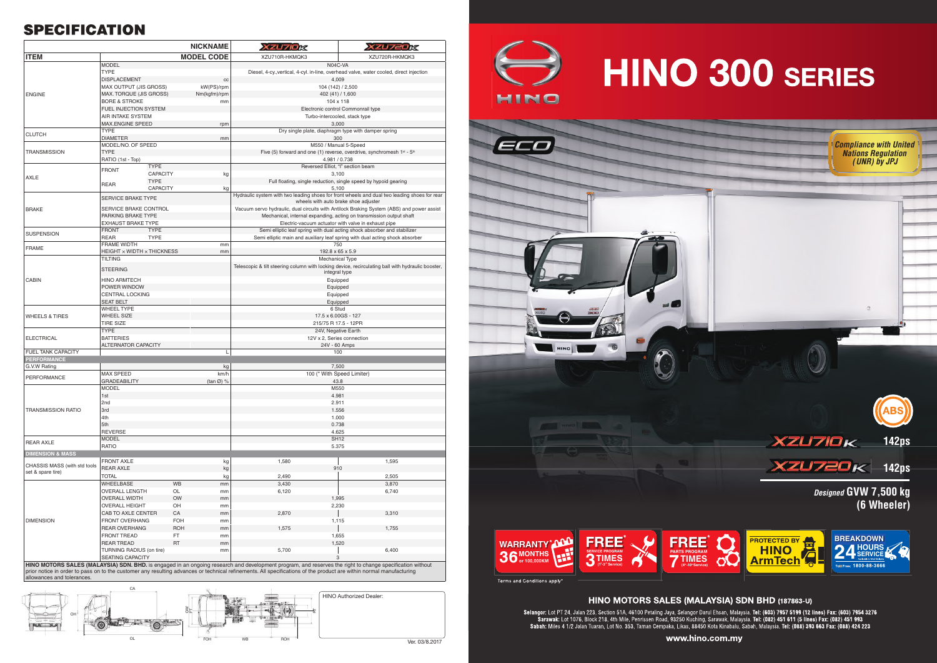# **SPECIFICATION**

|                                                   |                                                                                                   | <b>NICKNAME</b>      | <b>XZU7IOR</b>                                                                                                                  | <b>XZU720K</b>                                                                               |  |
|---------------------------------------------------|---------------------------------------------------------------------------------------------------|----------------------|---------------------------------------------------------------------------------------------------------------------------------|----------------------------------------------------------------------------------------------|--|
| <b>ITEM</b>                                       |                                                                                                   | <b>MODEL CODE</b>    | XZU710R-HKMQK3                                                                                                                  | XZU720R-HKMQK3                                                                               |  |
|                                                   | <b>MODEL</b>                                                                                      |                      |                                                                                                                                 | N04C-VA                                                                                      |  |
|                                                   | <b>TYPE</b>                                                                                       |                      |                                                                                                                                 | Diesel, 4-cy., vertical, 4-cyl. in-line, overhead valve, water cooled, direct injection      |  |
|                                                   | <b>DISPLACEMENT</b>                                                                               | cc                   |                                                                                                                                 | 4,009                                                                                        |  |
|                                                   | MAX OUTPUT (JIS GROSS)                                                                            | kW(PS)/rpm           |                                                                                                                                 | 104 (142) / 2,500                                                                            |  |
| <b>ENGINE</b>                                     | MAX. TORQUE (JIS GROSS)                                                                           | Nm(kgfm)/rpm         | 402 (41) / 1,600                                                                                                                |                                                                                              |  |
|                                                   | <b>BORE &amp; STROKE</b>                                                                          | mm                   | 104 x 118                                                                                                                       |                                                                                              |  |
|                                                   | FUEL INJECTION SYSTEM                                                                             |                      | Electronic control Commonrail type                                                                                              |                                                                                              |  |
|                                                   | AIR INTAKE SYSTEM                                                                                 |                      | Turbo-intercooled, stack type                                                                                                   |                                                                                              |  |
|                                                   | <b>MAX.ENGINE SPEED</b>                                                                           | rpm                  | 3,000                                                                                                                           |                                                                                              |  |
| <b>CLUTCH</b>                                     | <b>TYPE</b>                                                                                       |                      |                                                                                                                                 | Dry single plate, diaphragm type with damper spring                                          |  |
| <b>TRANSMISSION</b>                               | <b>DIAMETER</b><br>mm<br>MODEL/NO. OF SPEED                                                       |                      | 300<br>M550 / Manual 5-Speed                                                                                                    |                                                                                              |  |
|                                                   | <b>TYPE</b>                                                                                       |                      | Five (5) forward and one (1) reverse, overdrive, synchromesh 1st - 5th                                                          |                                                                                              |  |
|                                                   | RATIO (1st - Top)                                                                                 |                      | 4.981 / 0.738                                                                                                                   |                                                                                              |  |
|                                                   | <b>TYPE</b>                                                                                       |                      |                                                                                                                                 | Reversed Elliot, "I" section beam                                                            |  |
|                                                   | <b>FRONT</b><br><b>CAPACITY</b>                                                                   | kg                   |                                                                                                                                 | 3,100                                                                                        |  |
| <b>AXLE</b>                                       | <b>TYPE</b>                                                                                       |                      |                                                                                                                                 | Full floating, single reduction, single speed by hypoid gearing                              |  |
|                                                   | <b>REAR</b><br><b>CAPACITY</b>                                                                    | kg                   |                                                                                                                                 | 5,100                                                                                        |  |
|                                                   | <b>SERVICE BRAKE TYPE</b>                                                                         |                      |                                                                                                                                 | Hydraulic system with two leading shoes for front wheels and dual two leading shoes for rear |  |
|                                                   |                                                                                                   |                      |                                                                                                                                 | wheels with auto brake shoe adjuster                                                         |  |
| <b>BRAKE</b>                                      | SERVICE BRAKE CONTROL                                                                             |                      | Vacuum servo hydraulic, dual circuits with Antilock Braking System (ABS) and power assist                                       |                                                                                              |  |
|                                                   | PARKING BRAKE TYPE                                                                                |                      | Mechanical, internal expanding, acting on transmission output shaft                                                             |                                                                                              |  |
|                                                   | <b>EXHAUST BRAKE TYPE</b><br><b>FRONT</b><br><b>TYPE</b>                                          |                      | Electric-vacuum actuator with valve in exhaust pipe<br>Semi elliptic leaf spring with dual acting shock absorber and stabilizer |                                                                                              |  |
| <b>SUSPENSION</b>                                 | <b>REAR</b><br><b>TYPE</b>                                                                        |                      |                                                                                                                                 | Semi elliptic main and auxiliary leaf spring with dual acting shock absorber                 |  |
|                                                   | <b>FRAME WIDTH</b>                                                                                | mm                   |                                                                                                                                 | 750                                                                                          |  |
| <b>FRAME</b>                                      | HEIGHT x WIDTH x THICKNESS                                                                        | mm                   |                                                                                                                                 | 192.8 x 65 x 5.9                                                                             |  |
|                                                   | <b>TILTING</b>                                                                                    |                      |                                                                                                                                 | <b>Mechanical Type</b>                                                                       |  |
|                                                   | Telescopic & tilt steering column with locking device, recirculating ball with hydraulic booster, |                      |                                                                                                                                 |                                                                                              |  |
|                                                   | <b>STEERING</b>                                                                                   |                      |                                                                                                                                 | integral type                                                                                |  |
| <b>CABIN</b>                                      | <b>HINO ARMTECH</b>                                                                               |                      |                                                                                                                                 | Equipped                                                                                     |  |
|                                                   | POWER WINDOW                                                                                      |                      |                                                                                                                                 | Equipped                                                                                     |  |
|                                                   | <b>CENTRAL LOCKING</b>                                                                            |                      | Equipped                                                                                                                        |                                                                                              |  |
|                                                   | <b>SEAT BELT</b>                                                                                  |                      | Equipped<br>6 Stud                                                                                                              |                                                                                              |  |
|                                                   | <b>WHEEL TYPE</b><br><b>WHEEL SIZE</b>                                                            |                      |                                                                                                                                 | 17.5 x 6.00GS - 127                                                                          |  |
| <b>WHEELS &amp; TIRES</b>                         | <b>TIRE SIZE</b>                                                                                  |                      |                                                                                                                                 |                                                                                              |  |
|                                                   | <b>TYPE</b>                                                                                       |                      | 215/75 R 17.5 - 12PR<br>24V, Negative Earth                                                                                     |                                                                                              |  |
| <b>ELECTRICAL</b>                                 | <b>BATTERIES</b>                                                                                  |                      |                                                                                                                                 | 12V x 2, Series connection                                                                   |  |
|                                                   | <b>ALTERNATOR CAPACITY</b>                                                                        |                      | 24V - 60 Amps                                                                                                                   |                                                                                              |  |
| <b>FUEL TANK CAPACITY</b>                         |                                                                                                   | L                    |                                                                                                                                 | 100                                                                                          |  |
| <b>PERFORMANCE</b>                                |                                                                                                   |                      |                                                                                                                                 |                                                                                              |  |
| G.V.W Rating                                      |                                                                                                   | kg                   |                                                                                                                                 | 7,500                                                                                        |  |
| <b>PERFORMANCE</b>                                | <b>MAX SPEED</b>                                                                                  | km/h                 |                                                                                                                                 | 100 (* With Speed Limiter)                                                                   |  |
|                                                   | <b>GRADEABILITY</b>                                                                               | $(\tan \emptyset)$ % |                                                                                                                                 | 43.8                                                                                         |  |
|                                                   | <b>MODEL</b>                                                                                      |                      |                                                                                                                                 | M550                                                                                         |  |
|                                                   | 1st<br>4.981                                                                                      |                      |                                                                                                                                 |                                                                                              |  |
| <b>TRANSMISSION RATIO</b>                         | 2nd<br>3rd                                                                                        |                      | 2.911<br>1.556                                                                                                                  |                                                                                              |  |
|                                                   | 4th                                                                                               |                      |                                                                                                                                 | 1.000                                                                                        |  |
|                                                   | 5th                                                                                               |                      |                                                                                                                                 |                                                                                              |  |
|                                                   | <b>REVERSE</b>                                                                                    | 0.738<br>4.625       |                                                                                                                                 |                                                                                              |  |
|                                                   | <b>MODEL</b>                                                                                      |                      | <b>SH12</b>                                                                                                                     |                                                                                              |  |
| <b>REAR AXLE</b>                                  | <b>RATIO</b>                                                                                      |                      |                                                                                                                                 | 5.375                                                                                        |  |
| <b>DIMENSION &amp; MASS</b>                       |                                                                                                   |                      |                                                                                                                                 |                                                                                              |  |
|                                                   | <b>FRONT AXLE</b>                                                                                 | kg                   | 1,580                                                                                                                           | 1,595                                                                                        |  |
| CHASSIS MASS (with std tools<br>set & spare tire) | <b>REAR AXLE</b>                                                                                  | kg                   |                                                                                                                                 | 910                                                                                          |  |
|                                                   | <b>TOTAL</b>                                                                                      | kg                   | 2,490                                                                                                                           | 2,505                                                                                        |  |
| <b>DIMENSION</b>                                  | WHEELBASE                                                                                         | <b>WB</b><br>mm      | 3,430                                                                                                                           | 3,870                                                                                        |  |
|                                                   | <b>OVERALL LENGTH</b>                                                                             | OL<br>mm             | 6,120                                                                                                                           | 6,740                                                                                        |  |
|                                                   | <b>OVERALL WIDTH</b>                                                                              | <b>OW</b><br>mm      |                                                                                                                                 | 1,995                                                                                        |  |
|                                                   | <b>OVERALL HEIGHT</b>                                                                             | OH<br>mm             |                                                                                                                                 | 2,230                                                                                        |  |
|                                                   | CAB TO AXLE CENTER                                                                                | CA<br>mm             | 2,870                                                                                                                           | 3,310                                                                                        |  |
|                                                   | FRONT OVERHANG                                                                                    | <b>FOH</b><br>mm     |                                                                                                                                 | 1,115                                                                                        |  |
|                                                   | <b>REAR OVERHANG</b>                                                                              | <b>ROH</b><br>mm     | 1,575                                                                                                                           | 1,755                                                                                        |  |
|                                                   | <b>FRONT TREAD</b>                                                                                | FT.<br>mm            |                                                                                                                                 | 1,655                                                                                        |  |
|                                                   | <b>REAR TREAD</b>                                                                                 | RT<br>mm             |                                                                                                                                 | 1,520                                                                                        |  |
|                                                   | TURNING RADIUS (on tire)                                                                          | mm                   | 5,700                                                                                                                           | 6,400                                                                                        |  |
| 1111221222222                                     | <b>SEATING CAPACITY</b>                                                                           |                      |                                                                                                                                 | 3                                                                                            |  |

INO MOTORS SALES (MALAYSIA) SDN. BHD. is engaged in an ongoing research and development program, and reserves the right to change specific prior notice in order to pass on to the customer any resulting advances or technical refinements. All specifications of the product are within normal manufacturing allowances and tolerances.



**(6 Wheeler)**



Terms and Conditions apply\*

### HINO MOTORS SALES (MALAYSIA) SDN BHD (187863-U)

Selangor: Lot PT 24, Jalan 223, Section 51A, 46100 Petaling Jaya, Selangor Darul Ehsan, Malaysia. **Tel: (603) 7957 5199 (12 lines) Fax: (603) 7954 3276**<br>Sarawak: Lot 1076, Block 218, 4th Mile, Penrissen Road, 93250 Kuching

#### www.hino.com.my

Ver. 03/8.2017